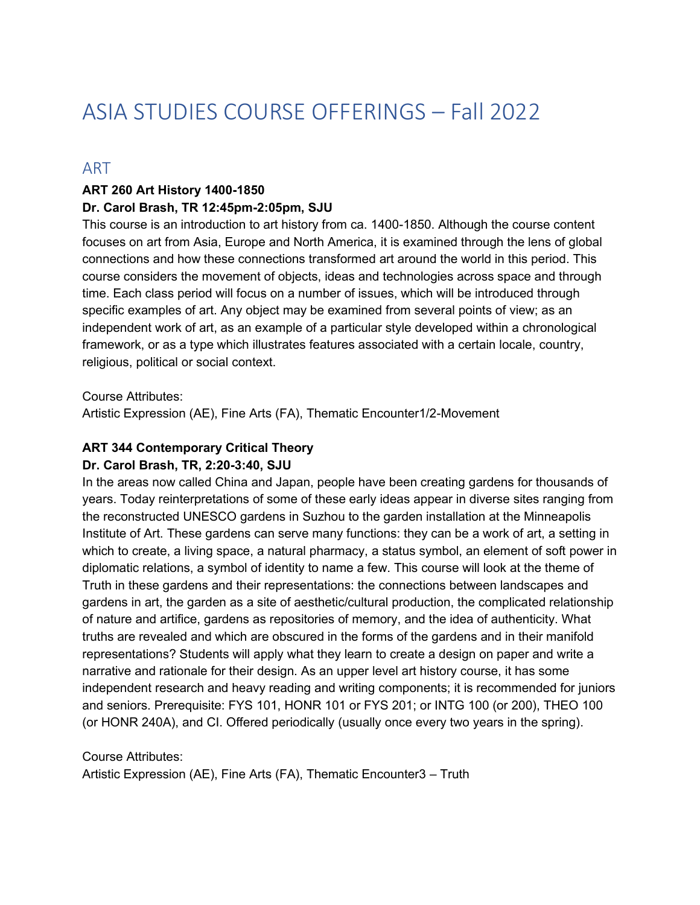# ASIA STUDIES COURSE OFFERINGS – Fall 2022

### ART

#### **ART 260 Art History 1400-1850**

#### **Dr. Carol Brash, TR 12:45pm-2:05pm, SJU**

This course is an introduction to art history from ca. 1400-1850. Although the course content focuses on art from Asia, Europe and North America, it is examined through the lens of global connections and how these connections transformed art around the world in this period. This course considers the movement of objects, ideas and technologies across space and through time. Each class period will focus on a number of issues, which will be introduced through specific examples of art. Any object may be examined from several points of view; as an independent work of art, as an example of a particular style developed within a chronological framework, or as a type which illustrates features associated with a certain locale, country, religious, political or social context.

#### Course Attributes:

Artistic Expression (AE), Fine Arts (FA), Thematic Encounter1/2-Movement

#### **ART 344 Contemporary Critical Theory Dr. Carol Brash, TR, 2:20-3:40, SJU**

In the areas now called China and Japan, people have been creating gardens for thousands of years. Today reinterpretations of some of these early ideas appear in diverse sites ranging from the reconstructed UNESCO gardens in Suzhou to the garden installation at the Minneapolis Institute of Art. These gardens can serve many functions: they can be a work of art, a setting in which to create, a living space, a natural pharmacy, a status symbol, an element of soft power in diplomatic relations, a symbol of identity to name a few. This course will look at the theme of Truth in these gardens and their representations: the connections between landscapes and gardens in art, the garden as a site of aesthetic/cultural production, the complicated relationship of nature and artifice, gardens as repositories of memory, and the idea of authenticity. What truths are revealed and which are obscured in the forms of the gardens and in their manifold representations? Students will apply what they learn to create a design on paper and write a narrative and rationale for their design. As an upper level art history course, it has some independent research and heavy reading and writing components; it is recommended for juniors and seniors. Prerequisite: FYS 101, HONR 101 or FYS 201; or INTG 100 (or 200), THEO 100 (or HONR 240A), and CI. Offered periodically (usually once every two years in the spring).

Course Attributes: Artistic Expression (AE), Fine Arts (FA), Thematic Encounter3 – Truth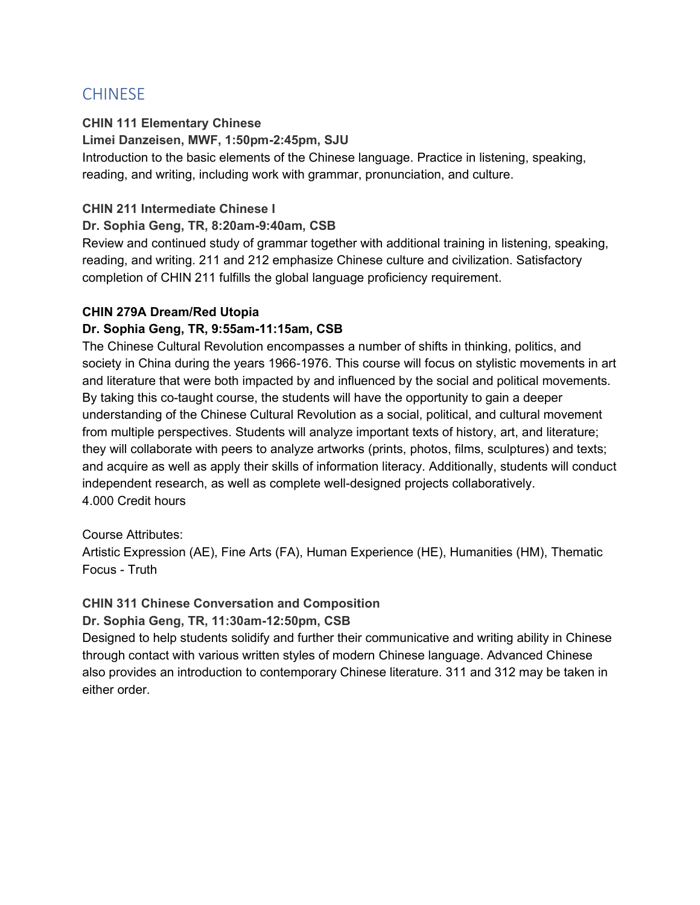### CHINESE

### **CHIN 111 Elementary Chinese**

**Limei Danzeisen, MWF, 1:50pm-2:45pm, SJU**

Introduction to the basic elements of the Chinese language. Practice in listening, speaking, reading, and writing, including work with grammar, pronunciation, and culture.

### **CHIN 211 Intermediate Chinese I**

### **Dr. Sophia Geng, TR, 8:20am-9:40am, CSB**

Review and continued study of grammar together with additional training in listening, speaking, reading, and writing. 211 and 212 emphasize Chinese culture and civilization. Satisfactory completion of CHIN 211 fulfills the global language proficiency requirement.

### **CHIN 279A Dream/Red Utopia**

### **Dr. Sophia Geng, TR, 9:55am-11:15am, CSB**

The Chinese Cultural Revolution encompasses a number of shifts in thinking, politics, and society in China during the years 1966-1976. This course will focus on stylistic movements in art and literature that were both impacted by and influenced by the social and political movements. By taking this co-taught course, the students will have the opportunity to gain a deeper understanding of the Chinese Cultural Revolution as a social, political, and cultural movement from multiple perspectives. Students will analyze important texts of history, art, and literature; they will collaborate with peers to analyze artworks (prints, photos, films, sculptures) and texts; and acquire as well as apply their skills of information literacy. Additionally, students will conduct independent research, as well as complete well-designed projects collaboratively. 4.000 Credit hours

### Course Attributes:

Artistic Expression (AE), Fine Arts (FA), Human Experience (HE), Humanities (HM), Thematic Focus - Truth

### **CHIN 311 Chinese Conversation and Composition**

### **Dr. Sophia Geng, TR, 11:30am-12:50pm, CSB**

Designed to help students solidify and further their communicative and writing ability in Chinese through contact with various written styles of modern Chinese language. Advanced Chinese also provides an introduction to contemporary Chinese literature. 311 and 312 may be taken in either order.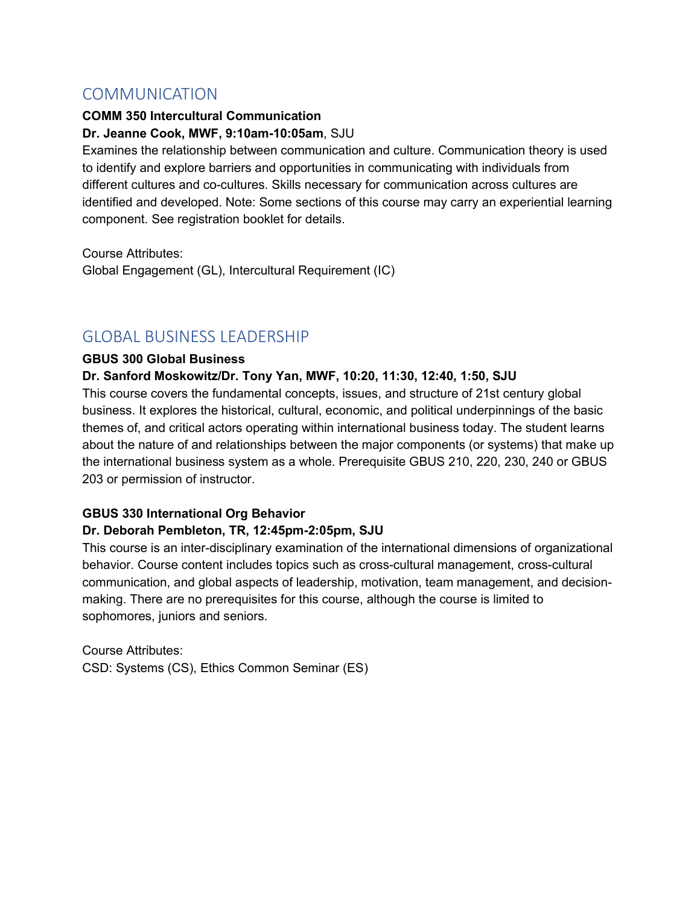### **COMMUNICATION**

### **COMM 350 Intercultural Communication Dr. Jeanne Cook, MWF, 9:10am-10:05am**, SJU

Examines the relationship between communication and culture. Communication theory is used to identify and explore barriers and opportunities in communicating with individuals from different cultures and co-cultures. Skills necessary for communication across cultures are identified and developed. Note: Some sections of this course may carry an experiential learning component. See registration booklet for details.

Course Attributes: Global Engagement (GL), Intercultural Requirement (IC)

### GLOBAL BUSINESS LEADERSHIP

### **GBUS 300 Global Business**

### **Dr. Sanford Moskowitz/Dr. Tony Yan, MWF, 10:20, 11:30, 12:40, 1:50, SJU**

This course covers the fundamental concepts, issues, and structure of 21st century global business. It explores the historical, cultural, economic, and political underpinnings of the basic themes of, and critical actors operating within international business today. The student learns about the nature of and relationships between the major components (or systems) that make up the international business system as a whole. Prerequisite GBUS 210, 220, 230, 240 or GBUS 203 or permission of instructor.

### **GBUS 330 International Org Behavior**

### **Dr. Deborah Pembleton, TR, 12:45pm-2:05pm, SJU**

This course is an inter-disciplinary examination of the international dimensions of organizational behavior. Course content includes topics such as cross-cultural management, cross-cultural communication, and global aspects of leadership, motivation, team management, and decisionmaking. There are no prerequisites for this course, although the course is limited to sophomores, juniors and seniors.

Course Attributes: CSD: Systems (CS), Ethics Common Seminar (ES)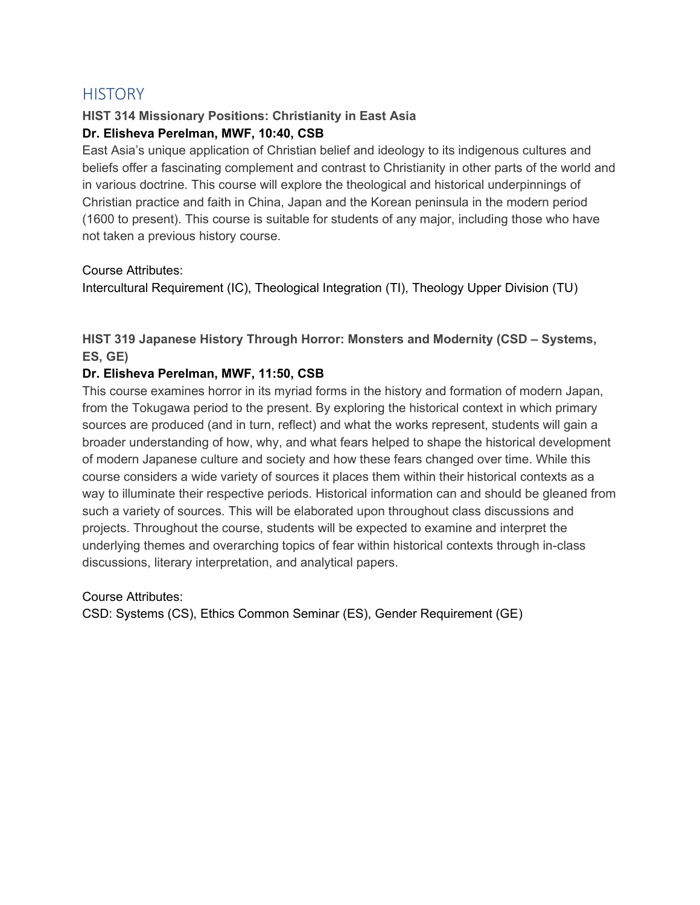### **HISTORY**

### **HIST 314 Missionary Positions: Christianity in East Asia Dr. Elisheva Perelman, MWF, 10:40, CSB**

East Asia's unique application of Christian belief and ideology to its indigenous cultures and beliefs offer a fascinating complement and contrast to Christianity in other parts of the world and in various doctrine. This course will explore the theological and historical underpinnings of Christian practice and faith in China, Japan and the Korean peninsula in the modern period (1600 to present). This course is suitable for students of any major, including those who have not taken a previous history course.

Course Attributes:

Intercultural Requirement (IC), Theological Integration (TI), Theology Upper Division (TU)

**HIST 319 Japanese History Through Horror: Monsters and Modernity (CSD – Systems, ES, GE)**

### **Dr. Elisheva Perelman, MWF, 11:50, CSB**

This course examines horror in its myriad forms in the history and formation of modern Japan, from the Tokugawa period to the present. By exploring the historical context in which primary sources are produced (and in turn, reflect) and what the works represent, students will gain a broader understanding of how, why, and what fears helped to shape the historical development of modern Japanese culture and society and how these fears changed over time. While this course considers a wide variety of sources it places them within their historical contexts as a way to illuminate their respective periods. Historical information can and should be gleaned from such a variety of sources. This will be elaborated upon throughout class discussions and projects. Throughout the course, students will be expected to examine and interpret the underlying themes and overarching topics of fear within historical contexts through in-class discussions, literary interpretation, and analytical papers.

Course Attributes:

CSD: Systems (CS), Ethics Common Seminar (ES), Gender Requirement (GE)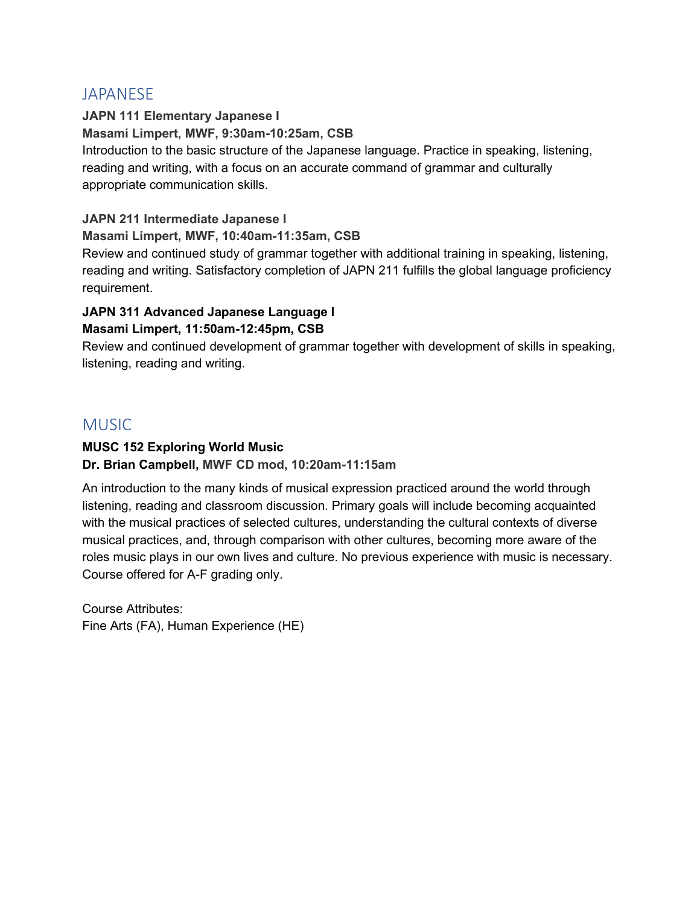### **JAPANESE**

**JAPN 111 Elementary Japanese I Masami Limpert, MWF, 9:30am-10:25am, CSB** Introduction to the basic structure of the Japanese language. Practice in speaking, listening, reading and writing, with a focus on an accurate command of grammar and culturally appropriate communication skills.

### **JAPN 211 Intermediate Japanese I**

### **Masami Limpert, MWF, 10:40am-11:35am, CSB**

Review and continued study of grammar together with additional training in speaking, listening, reading and writing. Satisfactory completion of JAPN 211 fulfills the global language proficiency requirement.

#### **JAPN 311 Advanced Japanese Language I Masami Limpert, 11:50am-12:45pm, CSB**

Review and continued development of grammar together with development of skills in speaking, listening, reading and writing.

### MUSIC

### **MUSC 152 Exploring World Music**

**Dr. Brian Campbell, MWF CD mod, 10:20am-11:15am**

An introduction to the many kinds of musical expression practiced around the world through listening, reading and classroom discussion. Primary goals will include becoming acquainted with the musical practices of selected cultures, understanding the cultural contexts of diverse musical practices, and, through comparison with other cultures, becoming more aware of the roles music plays in our own lives and culture. No previous experience with music is necessary. Course offered for A-F grading only.

Course Attributes: Fine Arts (FA), Human Experience (HE)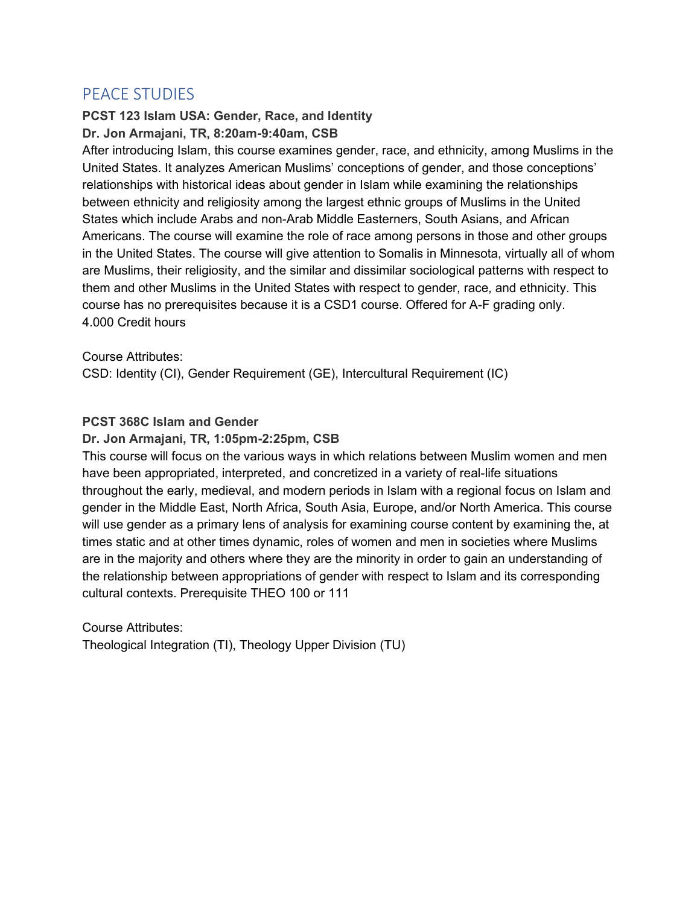### PEACE STUDIES

### **PCST 123 Islam USA: Gender, Race, and Identity Dr. Jon Armajani, TR, 8:20am-9:40am, CSB**

After introducing Islam, this course examines gender, race, and ethnicity, among Muslims in the United States. It analyzes American Muslims' conceptions of gender, and those conceptions' relationships with historical ideas about gender in Islam while examining the relationships between ethnicity and religiosity among the largest ethnic groups of Muslims in the United States which include Arabs and non-Arab Middle Easterners, South Asians, and African Americans. The course will examine the role of race among persons in those and other groups in the United States. The course will give attention to Somalis in Minnesota, virtually all of whom are Muslims, their religiosity, and the similar and dissimilar sociological patterns with respect to them and other Muslims in the United States with respect to gender, race, and ethnicity. This course has no prerequisites because it is a CSD1 course. Offered for A-F grading only. 4.000 Credit hours

#### Course Attributes:

CSD: Identity (CI), Gender Requirement (GE), Intercultural Requirement (IC)

### **PCST 368C Islam and Gender**

#### **Dr. Jon Armajani, TR, 1:05pm-2:25pm, CSB**

This course will focus on the various ways in which relations between Muslim women and men have been appropriated, interpreted, and concretized in a variety of real-life situations throughout the early, medieval, and modern periods in Islam with a regional focus on Islam and gender in the Middle East, North Africa, South Asia, Europe, and/or North America. This course will use gender as a primary lens of analysis for examining course content by examining the, at times static and at other times dynamic, roles of women and men in societies where Muslims are in the majority and others where they are the minority in order to gain an understanding of the relationship between appropriations of gender with respect to Islam and its corresponding cultural contexts. Prerequisite THEO 100 or 111

### Course Attributes: Theological Integration (TI), Theology Upper Division (TU)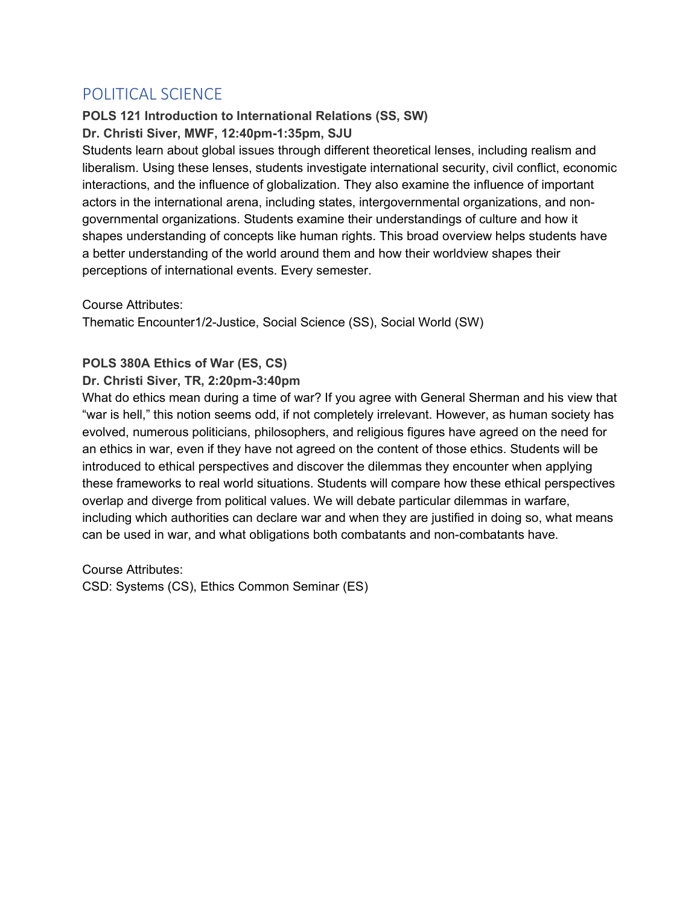### POLITICAL SCIENCE

## **POLS 121 Introduction to International Relations (SS, SW)**

**Dr. Christi Siver, MWF, 12:40pm-1:35pm, SJU**

Students learn about global issues through different theoretical lenses, including realism and liberalism. Using these lenses, students investigate international security, civil conflict, economic interactions, and the influence of globalization. They also examine the influence of important actors in the international arena, including states, intergovernmental organizations, and nongovernmental organizations. Students examine their understandings of culture and how it shapes understanding of concepts like human rights. This broad overview helps students have a better understanding of the world around them and how their worldview shapes their perceptions of international events. Every semester.

Course Attributes:

Thematic Encounter1/2-Justice, Social Science (SS), Social World (SW)

### **POLS 380A Ethics of War (ES, CS)**

### **Dr. Christi Siver, TR, 2:20pm-3:40pm**

What do ethics mean during a time of war? If you agree with General Sherman and his view that "war is hell," this notion seems odd, if not completely irrelevant. However, as human society has evolved, numerous politicians, philosophers, and religious figures have agreed on the need for an ethics in war, even if they have not agreed on the content of those ethics. Students will be introduced to ethical perspectives and discover the dilemmas they encounter when applying these frameworks to real world situations. Students will compare how these ethical perspectives overlap and diverge from political values. We will debate particular dilemmas in warfare, including which authorities can declare war and when they are justified in doing so, what means can be used in war, and what obligations both combatants and non-combatants have.

Course Attributes: CSD: Systems (CS), Ethics Common Seminar (ES)